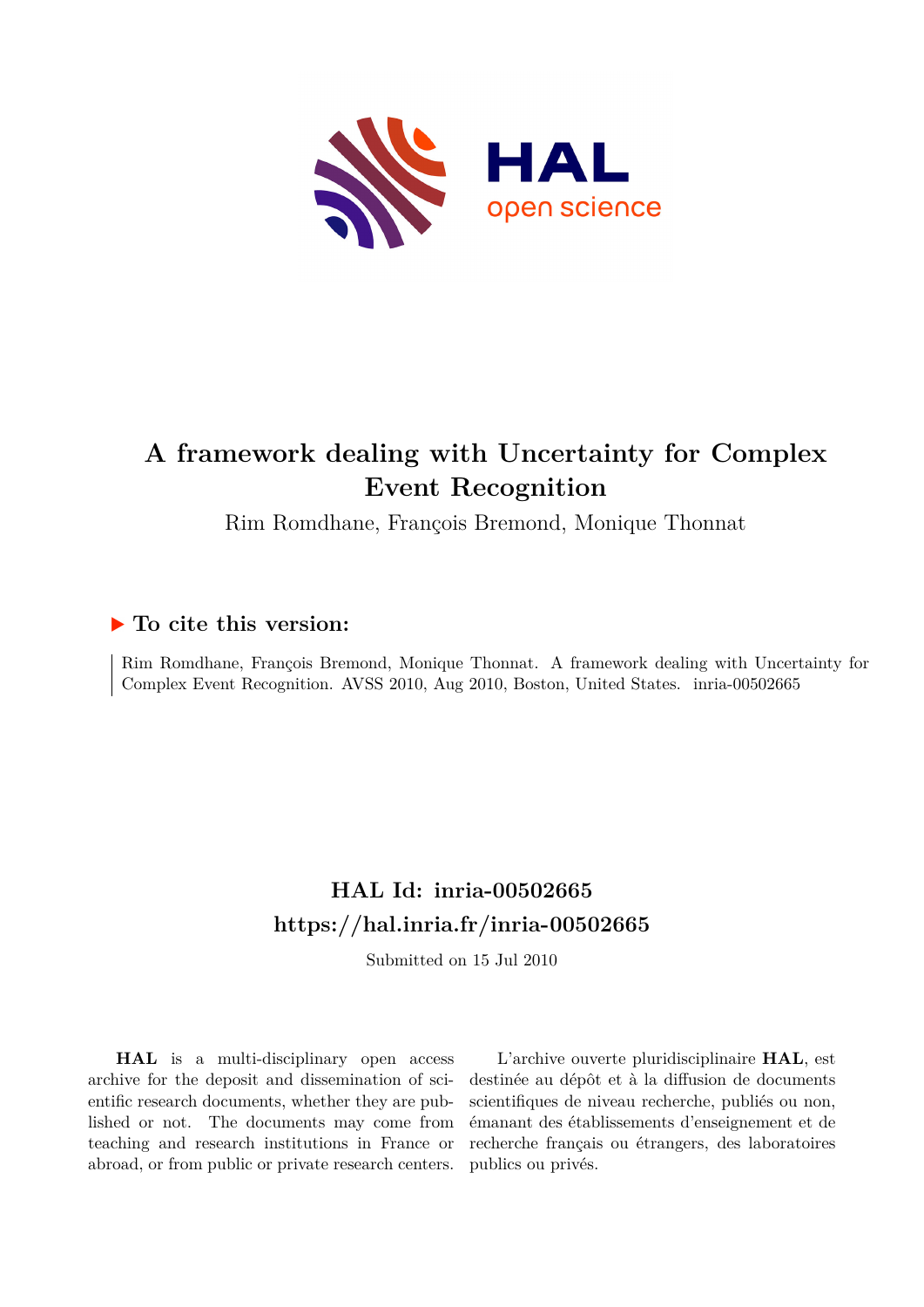<span id="page-0-0"></span>

# **A framework dealing with Uncertainty for Complex Event Recognition**

Rim Romdhane, François Bremond, Monique Thonnat

# **To cite this version:**

Rim Romdhane, François Bremond, Monique Thonnat. A framework dealing with Uncertainty for Complex Event Recognition. AVSS 2010, Aug 2010, Boston, United States. inria-00502665

# **HAL Id: inria-00502665 <https://hal.inria.fr/inria-00502665>**

Submitted on 15 Jul 2010

**HAL** is a multi-disciplinary open access archive for the deposit and dissemination of scientific research documents, whether they are published or not. The documents may come from teaching and research institutions in France or abroad, or from public or private research centers.

L'archive ouverte pluridisciplinaire **HAL**, est destinée au dépôt et à la diffusion de documents scientifiques de niveau recherche, publiés ou non, émanant des établissements d'enseignement et de recherche français ou étrangers, des laboratoires publics ou privés.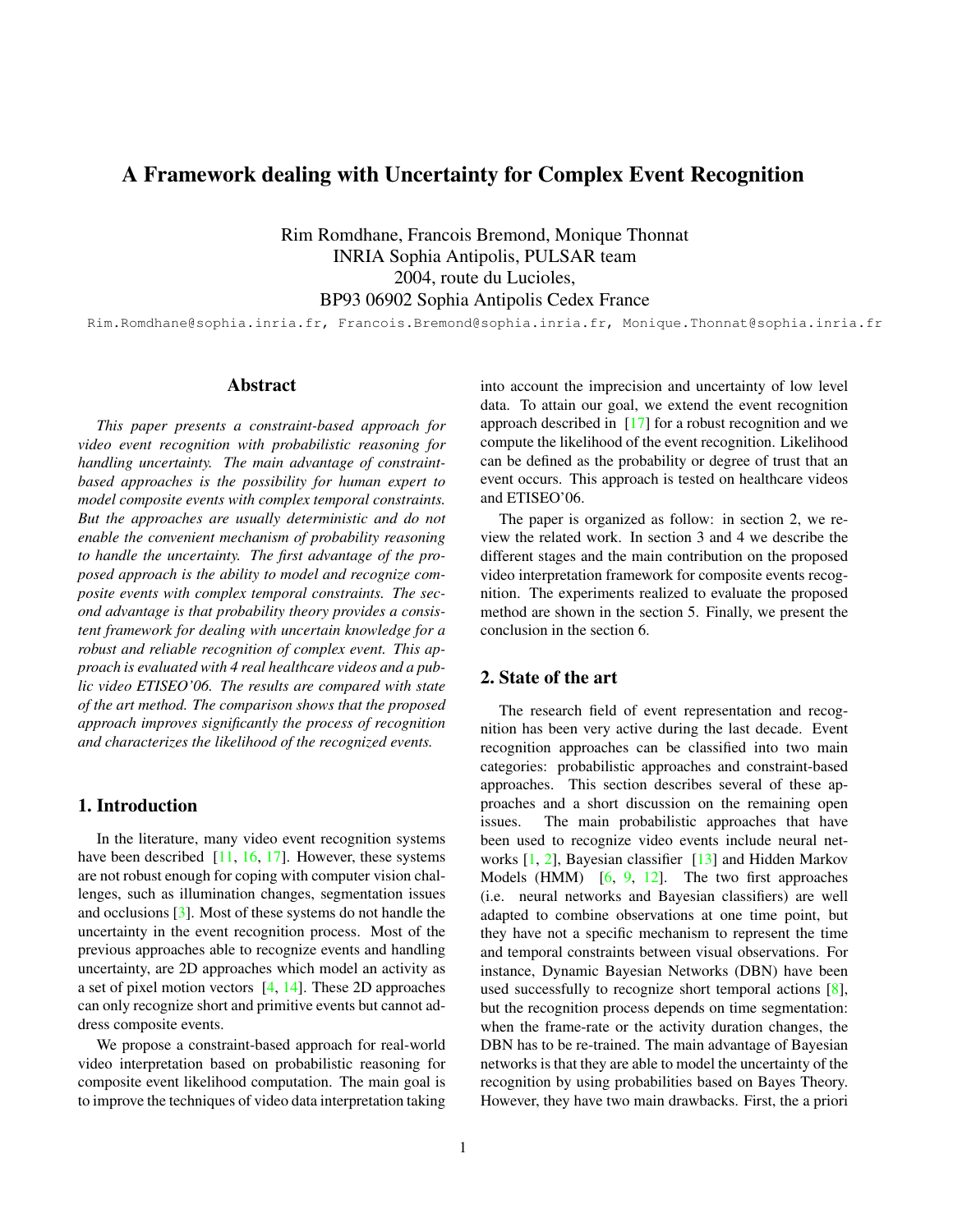# A Framework dealing with Uncertainty for Complex Event Recognition

Rim Romdhane, Francois Bremond, Monique Thonnat INRIA Sophia Antipolis, PULSAR team 2004, route du Lucioles, BP93 06902 Sophia Antipolis Cedex France

Rim.Romdhane@sophia.inria.fr, Francois.Bremond@sophia.inria.fr, Monique.Thonnat@sophia.inria.fr

### Abstract

*This paper presents a constraint-based approach for video event recognition with probabilistic reasoning for handling uncertainty. The main advantage of constraintbased approaches is the possibility for human expert to model composite events with complex temporal constraints. But the approaches are usually deterministic and do not enable the convenient mechanism of probability reasoning to handle the uncertainty. The first advantage of the proposed approach is the ability to model and recognize composite events with complex temporal constraints. The second advantage is that probability theory provides a consistent framework for dealing with uncertain knowledge for a robust and reliable recognition of complex event. This approach is evaluated with 4 real healthcare videos and a public video ETISEO'06. The results are compared with state of the art method. The comparison shows that the proposed approach improves significantly the process of recognition and characterizes the likelihood of the recognized events.*

# 1. Introduction

In the literature, many video event recognition systems have been described [11, 16, 17]. However, these systems are not robust enough for coping with computer vision challenges, such as illumination changes, segmentation issues and occlusions [3]. Most of these systems do not handle the uncertainty in the event recognition process. Most of the previous approaches able to recognize events and handling uncertainty, are 2D approaches which model an activity as a set of pixel motion vectors [4, 14]. These 2D approaches can only recognize short and primitive events but cannot address composite events.

We propose a constraint-based approach for real-world video interpretation based on probabilistic reasoning for composite event likelihood computation. The main goal is to improve the techniques of video data interpretation taking into account the imprecision and uncertainty of low level data. To attain our goal, we extend the event recognition approach described in [17] for a robust recognition and we compute the likelihood of the event recognition. Likelihood can be defined as the probability or degree of trust that an event occurs. This approach is tested on healthcare videos and ETISEO'06.

The paper is organized as follow: in section 2, we review the related work. In section 3 and 4 we describe the different stages and the main contribution on the proposed video interpretation framework for composite events recognition. The experiments realized to evaluate the proposed method are shown in the section 5. Finally, we present the conclusion in the section 6.

## 2. State of the art

The research field of event representation and recognition has been very active during the last decade. Event recognition approaches can be classified into two main categories: probabilistic approaches and constraint-based approaches. This section describes several of these approaches and a short discussion on the remaining open issues. The main probabilistic approaches that have been used to recognize video events include neural networks [1, 2], Bayesian classifier [13] and Hidden Markov Models (HMM)  $[6, 9, 12]$ . The two first approaches (i.e. neural networks and Bayesian classifiers) are well adapted to combine observations at one time point, but they have not a specific mechanism to represent the time and temporal constraints between visual observations. For instance, Dynamic Bayesian Networks (DBN) have been used successfully to recognize short temporal actions [8], but the recognition process depends on time segmentation: when the frame-rate or the activity duration changes, the DBN has to be re-trained. The main advantage of Bayesian networks is that they are able to model the uncertainty of the recognition by using probabilities based on Bayes Theory. However, they have two main drawbacks. First, the a priori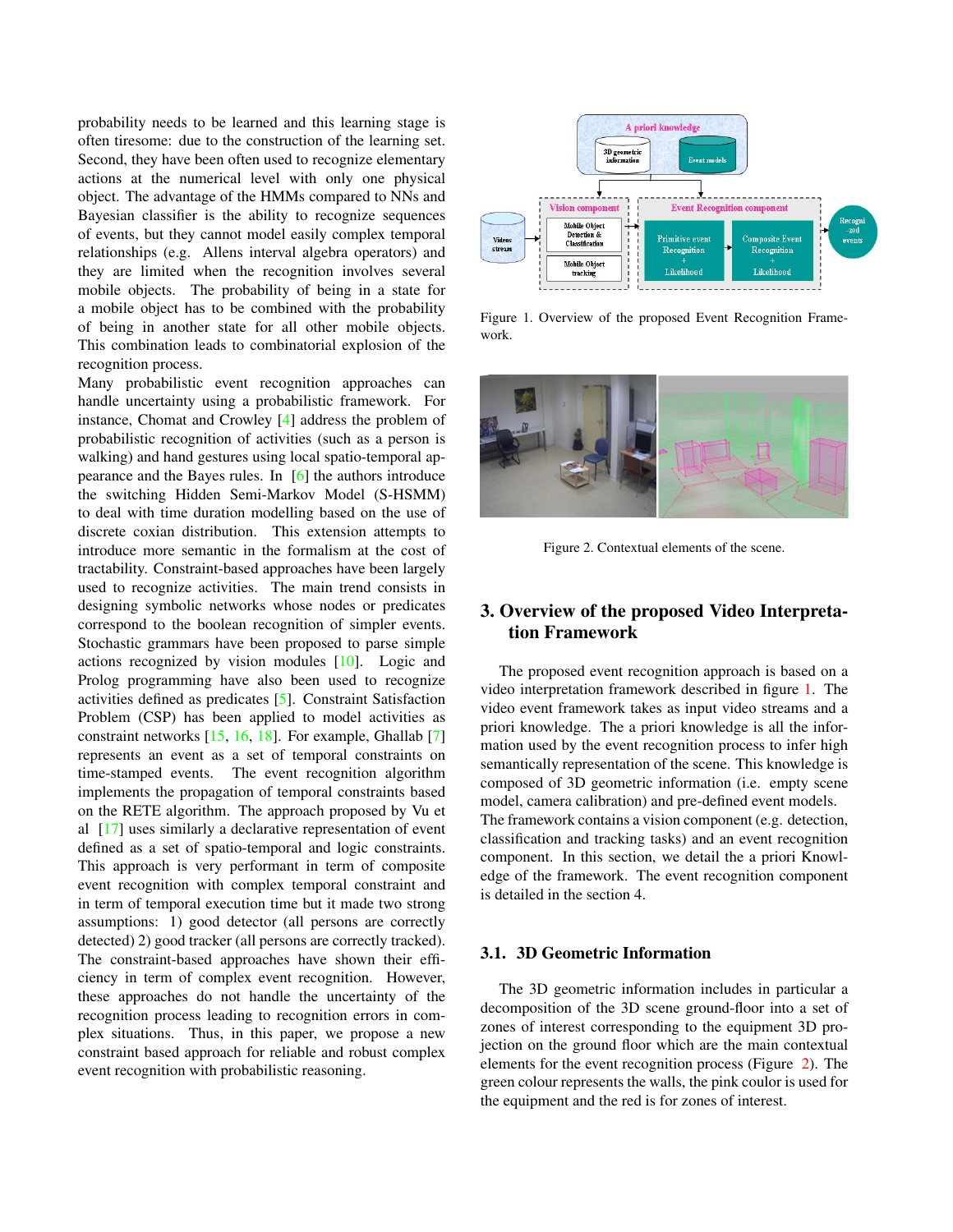probability needs to be learned and this learning stage is often tiresome: due to the construction of the learning set. Second, they have been often used to recognize elementary actions at the numerical level with only one physical object. The advantage of the HMMs compared to NNs and Bayesian classifier is the ability to recognize sequences of events, but they cannot model easily complex temporal relationships (e.g. Allens interval algebra operators) and they are limited when the recognition involves several mobile objects. The probability of being in a state for a mobile object has to be combined with the probability of being in another state for all other mobile objects. This combination leads to combinatorial explosion of the recognition process.

Many probabilistic event recognition approaches can handle uncertainty using a probabilistic framework. For instance, Chomat and Crowley [4] address the problem of probabilistic recognition of activities (such as a person is walking) and hand gestures using local spatio-temporal appearance and the Bayes rules. In [6] the authors introduce the switching Hidden Semi-Markov Model (S-HSMM) to deal with time duration modelling based on the use of discrete coxian distribution. This extension attempts to introduce more semantic in the formalism at the cost of tractability. Constraint-based approaches have been largely used to recognize activities. The main trend consists in designing symbolic networks whose nodes or predicates correspond to the boolean recognition of simpler events. Stochastic grammars have been proposed to parse simple actions recognized by vision modules [10]. Logic and Prolog programming have also been used to recognize activities defined as predicates [5]. Constraint Satisfaction Problem (CSP) has been applied to model activities as constraint networks [15, 16, 18]. For example, Ghallab [7] represents an event as a set of temporal constraints on time-stamped events. The event recognition algorithm implements the propagation of temporal constraints based on the RETE algorithm. The approach proposed by Vu et al [17] uses similarly a declarative representation of event defined as a set of spatio-temporal and logic constraints. This approach is very performant in term of composite event recognition with complex temporal constraint and in term of temporal execution time but it made two strong assumptions: 1) good detector (all persons are correctly detected) 2) good tracker (all persons are correctly tracked). The constraint-based approaches have shown their efficiency in term of complex event recognition. However, these approaches do not handle the uncertainty of the recognition process leading to recognition errors in complex situations. Thus, in this paper, we propose a new constraint based approach for reliable and robust complex event recognition with probabilistic reasoning.



Figure 1. Overview of the proposed Event Recognition Framework.



Figure 2. Contextual elements of the scene.

# 3. Overview of the proposed Video Interpretation Framework

The proposed event recognition approach is based on a video interpretation framework described in figure 1. The video event framework takes as input video streams and a priori knowledge. The a priori knowledge is all the information used by the event recognition process to infer high semantically representation of the scene. This knowledge is composed of 3D geometric information (i.e. empty scene model, camera calibration) and pre-defined event models. The framework contains a vision component (e.g. detection, classification and tracking tasks) and an event recognition component. In this section, we detail the a priori Knowledge of the framework. The event recognition component is detailed in the section 4.

# 3.1. 3D Geometric Information

The 3D geometric information includes in particular a decomposition of the 3D scene ground-floor into a set of zones of interest corresponding to the equipment 3D projection on the ground floor which are the main contextual elements for the event recognition process (Figure 2). The green colour represents the walls, the pink coulor is used for the equipment and the red is for zones of interest.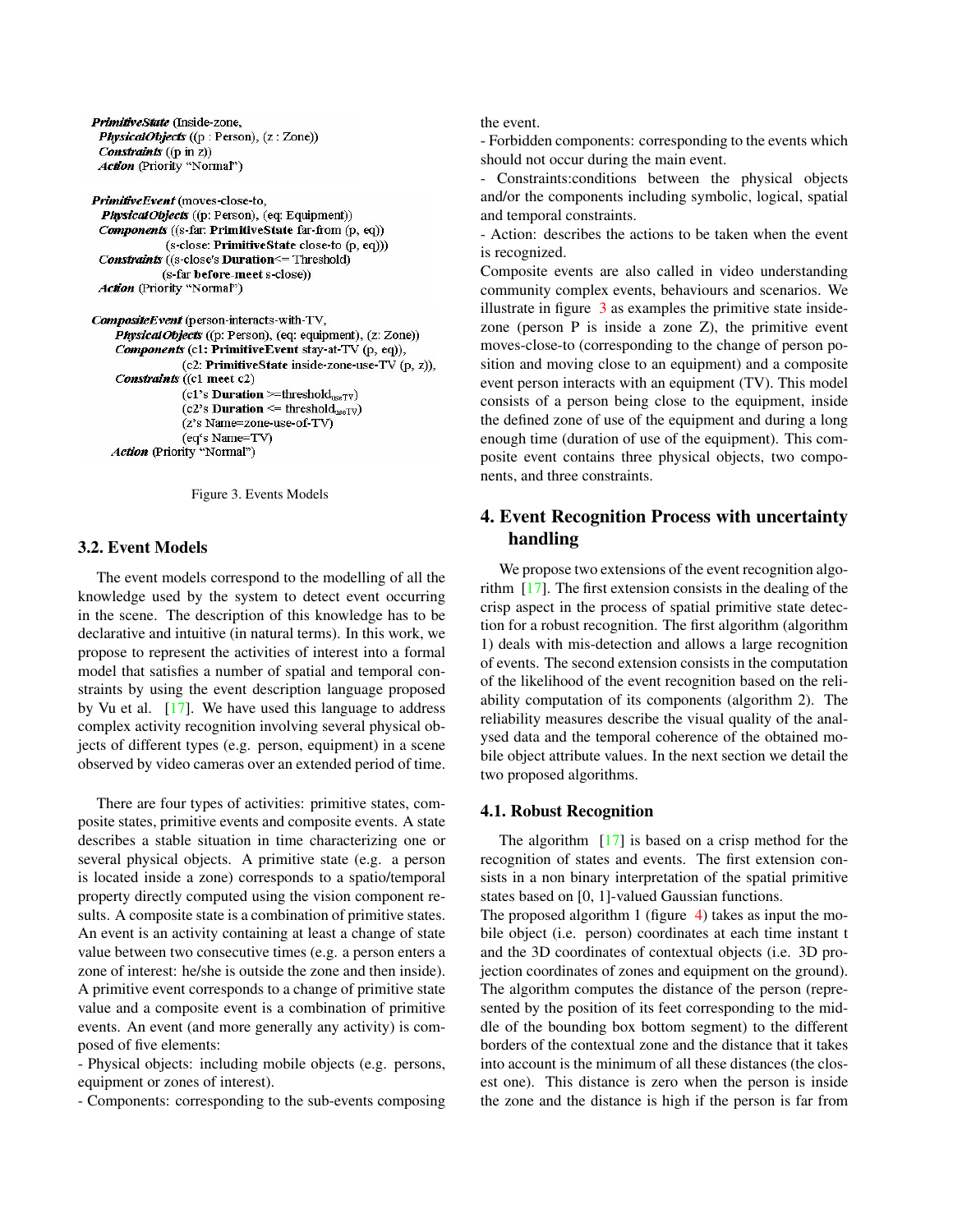PrimitiveState (Inside-zone, PhysicalObjects ((p: Person), (z: Zone)) **Constraints** (( $p$  in  $z$ )) Action (Priority "Normal")

PrimitiveEvent (moves-close-to, PhysicalObjects ((p: Person), (eq: Equipment)) **Components** ((s-far: PrimitiveState far-from (p, eq)) (s-close: PrimitiveState close-to (p, eq))) **Constraints** ((s-close's **Duration** <= Threshold) (s-far before-meet s-close)) Action (Priority "Normal")

```
CompositeEvent (person-interacts-with-TV,
  PhysicalObjects ((p: Person), (eq: equipment), (z: Zone))
  Components (c1: PrimitiveEvent stay-at-TV (p, eq)),
              (c2: PrimitiveState inside-zone-use-TV (p, z)),
  Constraints ((c1 meet c2)
              (c1's Duration >=threshold_{useTV})
              (c2's Duration \leq threshold<sub>useTV</sub>)
              (z's Name=zone-use-of-TV)
              (eq's Name=TV)
 Action (Priority "Normal")
```


## 3.2. Event Models

The event models correspond to the modelling of all the knowledge used by the system to detect event occurring in the scene. The description of this knowledge has to be declarative and intuitive (in natural terms). In this work, we propose to represent the activities of interest into a formal model that satisfies a number of spatial and temporal constraints by using the event description language proposed by Vu et al. [17]. We have used this language to address complex activity recognition involving several physical objects of different types (e.g. person, equipment) in a scene observed by video cameras over an extended period of time.

There are four types of activities: primitive states, composite states, primitive events and composite events. A state describes a stable situation in time characterizing one or several physical objects. A primitive state (e.g. a person is located inside a zone) corresponds to a spatio/temporal property directly computed using the vision component results. A composite state is a combination of primitive states. An event is an activity containing at least a change of state value between two consecutive times (e.g. a person enters a zone of interest: he/she is outside the zone and then inside). A primitive event corresponds to a change of primitive state value and a composite event is a combination of primitive events. An event (and more generally any activity) is composed of five elements:

- Physical objects: including mobile objects (e.g. persons, equipment or zones of interest).

- Components: corresponding to the sub-events composing

the event.

- Forbidden components: corresponding to the events which should not occur during the main event.

- Constraints:conditions between the physical objects and/or the components including symbolic, logical, spatial and temporal constraints.

- Action: describes the actions to be taken when the event is recognized.

Composite events are also called in video understanding community complex events, behaviours and scenarios. We illustrate in figure 3 as examples the primitive state insidezone (person P is inside a zone Z), the primitive event moves-close-to (corresponding to the change of person position and moving close to an equipment) and a composite event person interacts with an equipment (TV). This model consists of a person being close to the equipment, inside the defined zone of use of the equipment and during a long enough time (duration of use of the equipment). This composite event contains three physical objects, two components, and three constraints.

# 4. Event Recognition Process with uncertainty handling

We propose two extensions of the event recognition algorithm [17]. The first extension consists in the dealing of the crisp aspect in the process of spatial primitive state detection for a robust recognition. The first algorithm (algorithm 1) deals with mis-detection and allows a large recognition of events. The second extension consists in the computation of the likelihood of the event recognition based on the reliability computation of its components (algorithm 2). The reliability measures describe the visual quality of the analysed data and the temporal coherence of the obtained mobile object attribute values. In the next section we detail the two proposed algorithms.

# 4.1. Robust Recognition

The algorithm [17] is based on a crisp method for the recognition of states and events. The first extension consists in a non binary interpretation of the spatial primitive states based on [0, 1]-valued Gaussian functions.

The proposed algorithm 1 (figure 4) takes as input the mobile object (i.e. person) coordinates at each time instant t and the 3D coordinates of contextual objects (i.e. 3D projection coordinates of zones and equipment on the ground). The algorithm computes the distance of the person (represented by the position of its feet corresponding to the middle of the bounding box bottom segment) to the different borders of the contextual zone and the distance that it takes into account is the minimum of all these distances (the closest one). This distance is zero when the person is inside the zone and the distance is high if the person is far from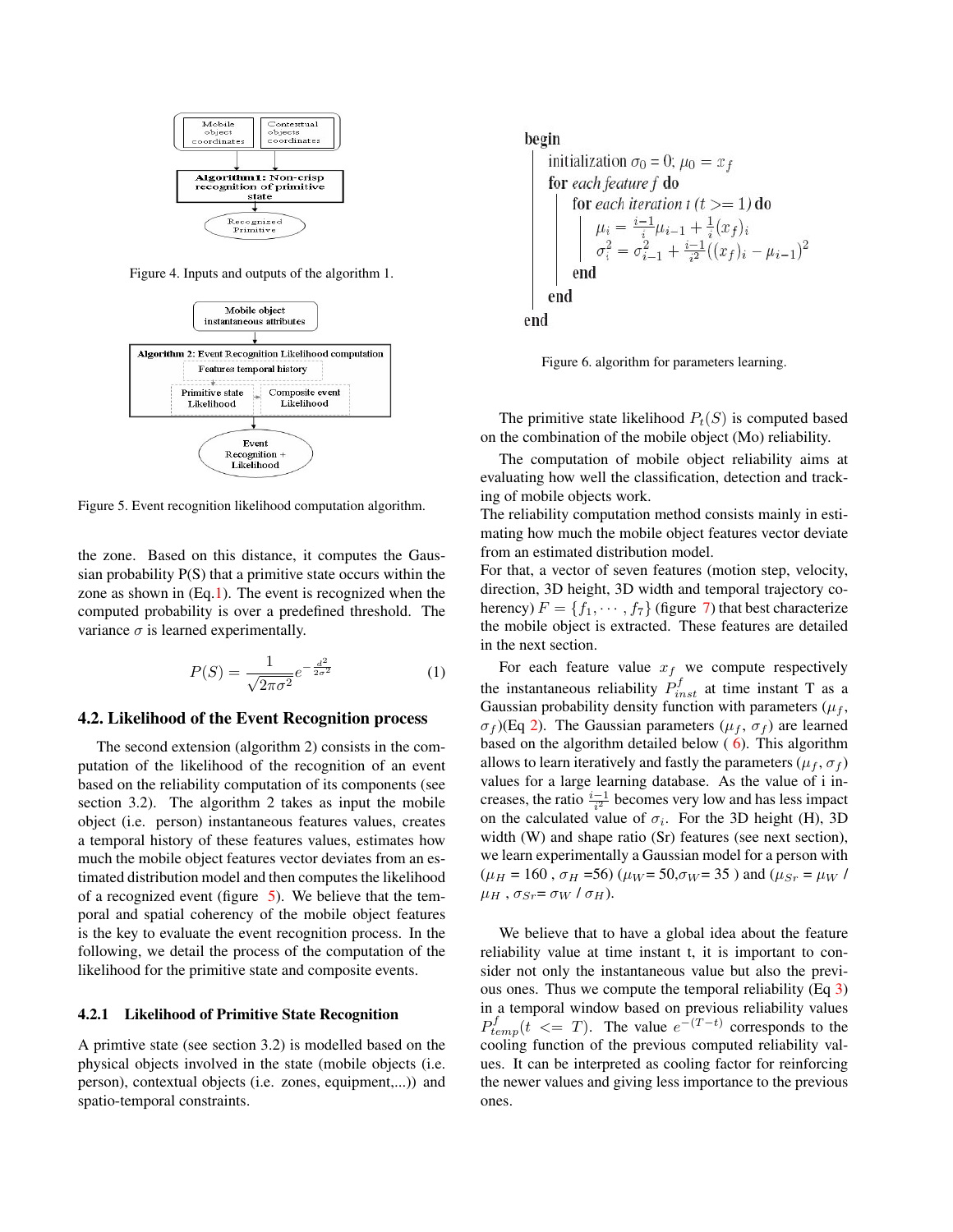

Figure 4. Inputs and outputs of the algorithm 1.



Figure 5. Event recognition likelihood computation algorithm.

the zone. Based on this distance, it computes the Gaussian probability P(S) that a primitive state occurs within the zone as shown in (Eq.1). The event is recognized when the computed probability is over a predefined threshold. The variance  $\sigma$  is learned experimentally.

$$
P(S) = \frac{1}{\sqrt{2\pi\sigma^2}} e^{-\frac{d^2}{2\sigma^2}}
$$
 (1)

### 4.2. Likelihood of the Event Recognition process

The second extension (algorithm 2) consists in the computation of the likelihood of the recognition of an event based on the reliability computation of its components (see section 3.2). The algorithm 2 takes as input the mobile object (i.e. person) instantaneous features values, creates a temporal history of these features values, estimates how much the mobile object features vector deviates from an estimated distribution model and then computes the likelihood of a recognized event (figure 5). We believe that the temporal and spatial coherency of the mobile object features is the key to evaluate the event recognition process. In the following, we detail the process of the computation of the likelihood for the primitive state and composite events.

### 4.2.1 Likelihood of Primitive State Recognition

A primtive state (see section 3.2) is modelled based on the physical objects involved in the state (mobile objects (i.e. person), contextual objects (i.e. zones, equipment,...)) and spatio-temporal constraints.

# begin initialization  $\sigma_0 = 0$ ;  $\mu_0 = x_f$ for each feature f do for each iteration t  $(t >= 1)$  do  $\mu_i = \frac{i-1}{i}\mu_{i-1} + \frac{1}{i}(x_f)_i$ <br>  $\sigma_i^2 = \sigma_{i-1}^2 + \frac{i-1}{i^2}((x_f)_i - \mu_{i-1})^2$ end end end

Figure 6. algorithm for parameters learning.

The primitive state likelihood  $P_t(S)$  is computed based on the combination of the mobile object (Mo) reliability.

The computation of mobile object reliability aims at evaluating how well the classification, detection and tracking of mobile objects work.

The reliability computation method consists mainly in estimating how much the mobile object features vector deviate from an estimated distribution model.

For that, a vector of seven features (motion step, velocity, direction, 3D height, 3D width and temporal trajectory coherency)  $F = \{f_1, \dots, f_7\}$  (figure 7) that best characterize the mobile object is extracted. These features are detailed in the next section.

For each feature value  $x_f$  we compute respectively the instantaneous reliability  $P_{inst}^f$  at time instant T as a Gaussian probability density function with parameters  $(\mu_f,$  $\sigma_f$ )(Eq 2). The Gaussian parameters ( $\mu_f$ ,  $\sigma_f$ ) are learned based on the algorithm detailed below  $(6)$ . This algorithm allows to learn iteratively and fastly the parameters ( $\mu_f$ ,  $\sigma_f$ ) values for a large learning database. As the value of i increases, the ratio  $\frac{i-1}{i^2}$  becomes very low and has less impact on the calculated value of  $\sigma_i$ . For the 3D height (H), 3D width (W) and shape ratio (Sr) features (see next section), we learn experimentally a Gaussian model for a person with  $(\mu_H = 160 \, , \sigma_H = 56)$  ( $\mu_W = 50, \sigma_W = 35$ ) and ( $\mu_{Sr} = \mu_W /$  $\mu_H$ ,  $\sigma_{Sr} = \sigma_W / \sigma_H$ ).

We believe that to have a global idea about the feature reliability value at time instant t, it is important to consider not only the instantaneous value but also the previous ones. Thus we compute the temporal reliability (Eq 3) in a temporal window based on previous reliability values  $P_{temp}^f(t \leq T)$ . The value  $e^{-(T-t)}$  corresponds to the cooling function of the previous computed reliability values. It can be interpreted as cooling factor for reinforcing the newer values and giving less importance to the previous ones.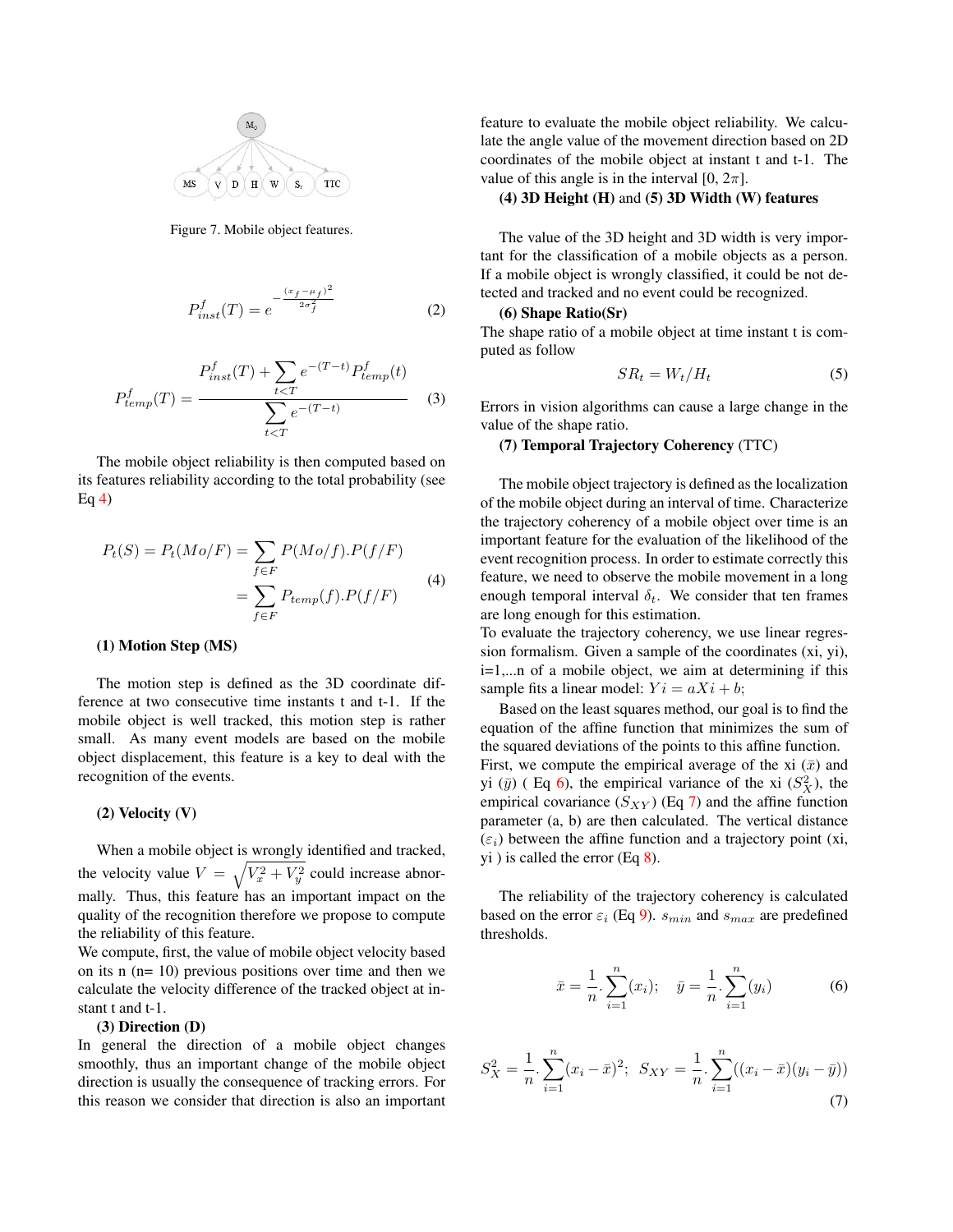

Figure 7. Mobile object features.

$$
P_{inst}^f(T) = e^{-\frac{(x_f - \mu_f)^2}{2\sigma_f^2}}
$$
 (2)

$$
P_{temp}^f(T) = \frac{P_{inst}^f(T) + \sum_{t < T} e^{-(T-t)} P_{temp}^f(t)}{\sum_{t < T} e^{-(T-t)}} \tag{3}
$$

The mobile object reliability is then computed based on its features reliability according to the total probability (see Eq  $4$ )

$$
P_t(S) = P_t(Mo/F) = \sum_{f \in F} P(Mo/f).P(f/F)
$$

$$
= \sum_{f \in F} P_{temp}(f).P(f/F)
$$
(4)

#### (1) Motion Step (MS)

The motion step is defined as the 3D coordinate difference at two consecutive time instants t and t-1. If the mobile object is well tracked, this motion step is rather small. As many event models are based on the mobile object displacement, this feature is a key to deal with the recognition of the events.

### (2) Velocity (V)

When a mobile object is wrongly identified and tracked, the velocity value  $V = \sqrt{V_x^2 + V_y^2}$  could increase abnormally. Thus, this feature has an important impact on the quality of the recognition therefore we propose to compute the reliability of this feature.

We compute, first, the value of mobile object velocity based on its n (n= 10) previous positions over time and then we calculate the velocity difference of the tracked object at instant t and t-1.

### (3) Direction (D)

In general the direction of a mobile object changes smoothly, thus an important change of the mobile object direction is usually the consequence of tracking errors. For this reason we consider that direction is also an important feature to evaluate the mobile object reliability. We calculate the angle value of the movement direction based on 2D coordinates of the mobile object at instant t and t-1. The value of this angle is in the interval  $[0, 2\pi]$ .

### (4) 3D Height (H) and (5) 3D Width (W) features

The value of the 3D height and 3D width is very important for the classification of a mobile objects as a person. If a mobile object is wrongly classified, it could be not detected and tracked and no event could be recognized.

### (6) Shape Ratio(Sr)

The shape ratio of a mobile object at time instant t is computed as follow

$$
SR_t = W_t / H_t \tag{5}
$$

Errors in vision algorithms can cause a large change in the value of the shape ratio.

## (7) Temporal Trajectory Coherency (TTC)

The mobile object trajectory is defined as the localization of the mobile object during an interval of time. Characterize the trajectory coherency of a mobile object over time is an important feature for the evaluation of the likelihood of the event recognition process. In order to estimate correctly this feature, we need to observe the mobile movement in a long enough temporal interval  $\delta_t$ . We consider that ten frames are long enough for this estimation.

To evaluate the trajectory coherency, we use linear regression formalism. Given a sample of the coordinates (xi, yi), i=1,...n of a mobile object, we aim at determining if this sample fits a linear model:  $Y_i = aX_i + b$ ;

Based on the least squares method, our goal is to find the equation of the affine function that minimizes the sum of the squared deviations of the points to this affine function. First, we compute the empirical average of the xi  $(\bar{x})$  and yi  $(\bar{y})$  (Eq 6), the empirical variance of the xi  $(S_X^2)$ , the empirical covariance  $(S_{XY})$  (Eq 7) and the affine function parameter (a, b) are then calculated. The vertical distance  $(\varepsilon_i)$  between the affine function and a trajectory point (xi, yi ) is called the error (Eq 8).

The reliability of the trajectory coherency is calculated based on the error  $\varepsilon_i$  (Eq 9).  $s_{min}$  and  $s_{max}$  are predefined thresholds.

$$
\bar{x} = \frac{1}{n} \cdot \sum_{i=1}^{n} (x_i); \quad \bar{y} = \frac{1}{n} \cdot \sum_{i=1}^{n} (y_i)
$$
 (6)

$$
S_X^2 = \frac{1}{n} \cdot \sum_{i=1}^n (x_i - \bar{x})^2; \ \ S_{XY} = \frac{1}{n} \cdot \sum_{i=1}^n ((x_i - \bar{x})(y_i - \bar{y})) \tag{7}
$$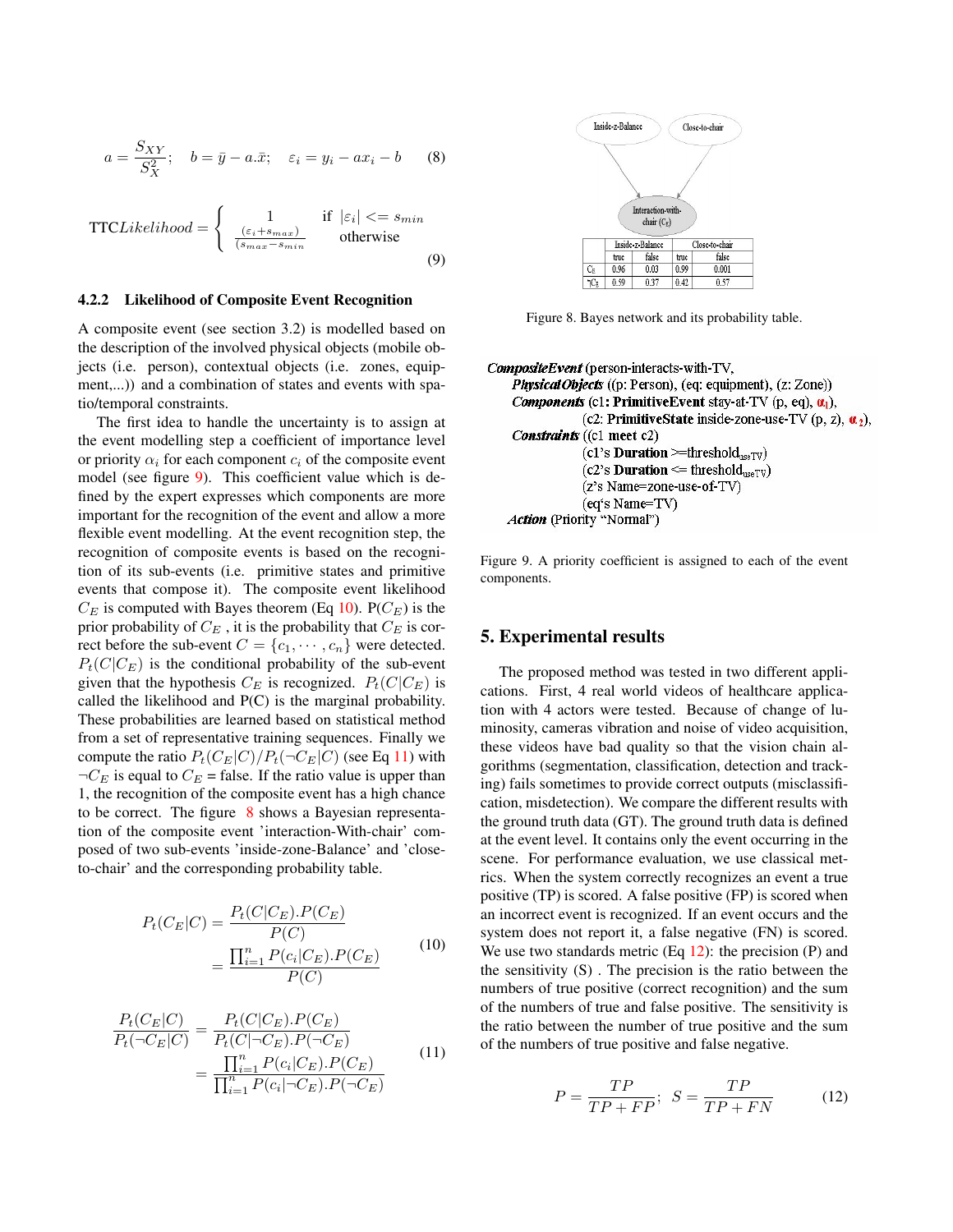$$
a = \frac{S_{XY}}{S_X^2}; \quad b = \bar{y} - a.\bar{x}; \quad \varepsilon_i = y_i - ax_i - b \tag{8}
$$

$$
\text{TTC}Likelihood = \begin{cases} 1 & \text{if } |\varepsilon_i| <= s_{min} \\ \frac{(\varepsilon_i + s_{max})}{(s_{max} - s_{min})} & \text{otherwise} \end{cases} \tag{9}
$$

### 4.2.2 Likelihood of Composite Event Recognition

A composite event (see section 3.2) is modelled based on the description of the involved physical objects (mobile objects (i.e. person), contextual objects (i.e. zones, equipment,...)) and a combination of states and events with spatio/temporal constraints.

The first idea to handle the uncertainty is to assign at the event modelling step a coefficient of importance level or priority  $\alpha_i$  for each component  $c_i$  of the composite event model (see figure 9). This coefficient value which is defined by the expert expresses which components are more important for the recognition of the event and allow a more flexible event modelling. At the event recognition step, the recognition of composite events is based on the recognition of its sub-events (i.e. primitive states and primitive events that compose it). The composite event likelihood  $C_E$  is computed with Bayes theorem (Eq 10). P( $C_E$ ) is the prior probability of  $C_E$ , it is the probability that  $C_E$  is correct before the sub-event  $C = \{c_1, \dots, c_n\}$  were detected.  $P_t(C|C_F)$  is the conditional probability of the sub-event given that the hypothesis  $C_E$  is recognized.  $P_t(C|C_E)$  is called the likelihood and P(C) is the marginal probability. These probabilities are learned based on statistical method from a set of representative training sequences. Finally we compute the ratio  $P_t(C_E|C)/P_t(\neg C_E|C)$  (see Eq 11) with  $\neg C_E$  is equal to  $C_E$  = false. If the ratio value is upper than 1, the recognition of the composite event has a high chance to be correct. The figure  $8$  shows a Bayesian representation of the composite event 'interaction-With-chair' composed of two sub-events 'inside-zone-Balance' and 'closeto-chair' and the corresponding probability table.

$$
P_t(C_E|C) = \frac{P_t(C|C_E).P(C_E)}{P(C)}
$$
  
= 
$$
\frac{\prod_{i=1}^n P(c_i|C_E).P(C_E)}{P(C)}
$$
 (10)

$$
\frac{P_t(C_E|C)}{P_t(\neg C_E|C)} = \frac{P_t(C|C_E).P(C_E)}{P_t(C|\neg C_E).P(\neg C_E)} = \frac{\prod_{i=1}^n P(c_i|C_E).P(C_E)}{\prod_{i=1}^n P(c_i|\neg C_E).P(\neg C_E)} \tag{11}
$$



Figure 8. Bayes network and its probability table.

```
CompositeEvent (person-interacts-with-TV,
  PhysicalObjects ((p: Person), (eq: equipment), (z: Zone))
  Components (c1: Primitive Event stay-at-TV (p, eq), \alpha_1),
               (c2: PrimitiveState inside-zone-use-TV (p, z), \alpha_2),
  Constraints ((c1 meet c2)
               (c1's Duration >=threshold_{useTV})
               (c2's Duration \leq threshold<sub>useTV</sub>)
               (z's Name=zone-use-of-TV)
               (eq's Name=TV)
 Action (Priority "Normal")
```
Figure 9. A priority coefficient is assigned to each of the event components.

# 5. Experimental results

The proposed method was tested in two different applications. First, 4 real world videos of healthcare application with 4 actors were tested. Because of change of luminosity, cameras vibration and noise of video acquisition, these videos have bad quality so that the vision chain algorithms (segmentation, classification, detection and tracking) fails sometimes to provide correct outputs (misclassification, misdetection). We compare the different results with the ground truth data (GT). The ground truth data is defined at the event level. It contains only the event occurring in the scene. For performance evaluation, we use classical metrics. When the system correctly recognizes an event a true positive (TP) is scored. A false positive (FP) is scored when an incorrect event is recognized. If an event occurs and the system does not report it, a false negative (FN) is scored. We use two standards metric  $(Eq 12)$ : the precision  $(P)$  and the sensitivity (S) . The precision is the ratio between the numbers of true positive (correct recognition) and the sum of the numbers of true and false positive. The sensitivity is the ratio between the number of true positive and the sum of the numbers of true positive and false negative.

$$
P = \frac{TP}{TP + FP}; \quad S = \frac{TP}{TP + FN} \tag{12}
$$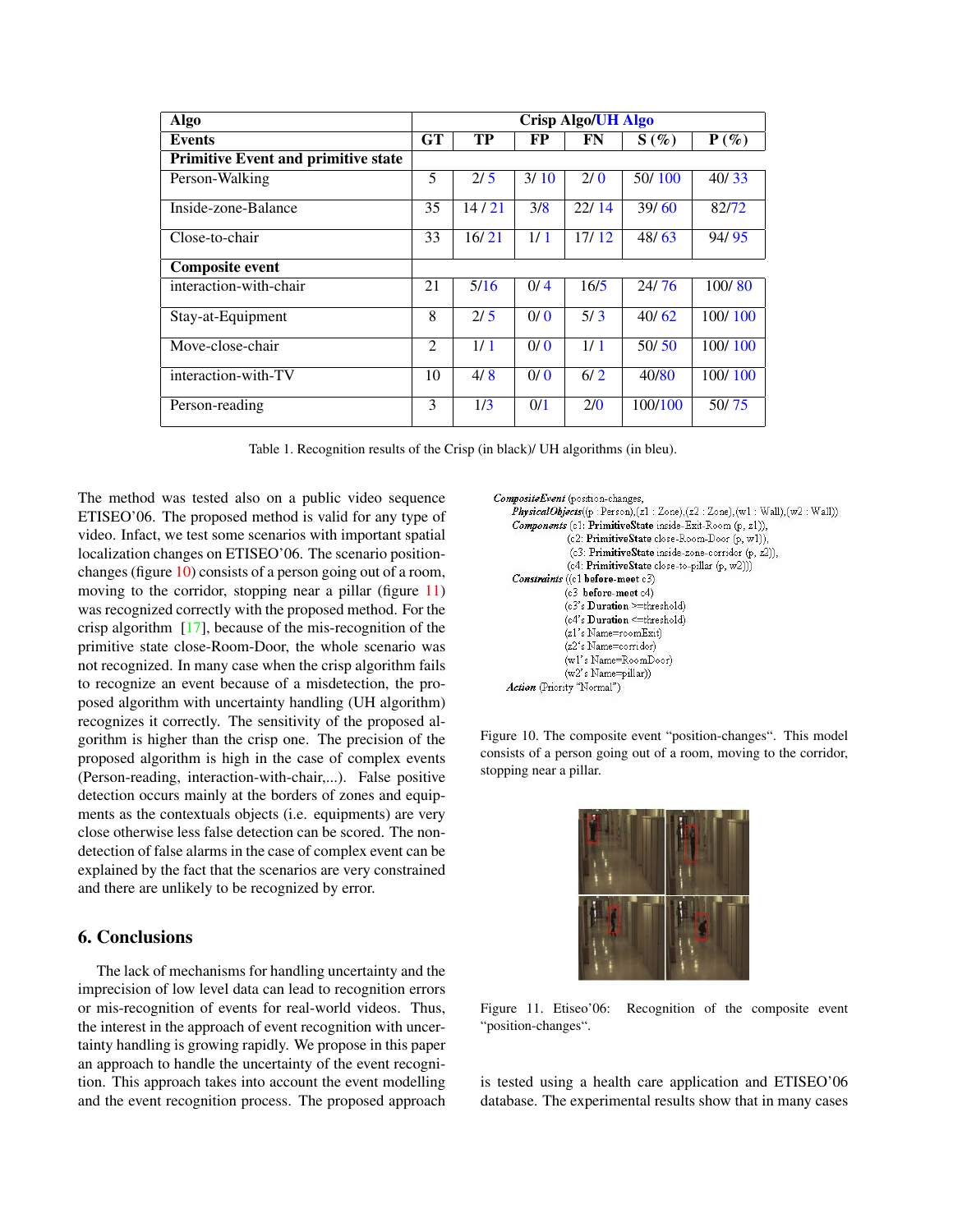| Algo                                       | <b>Crisp Algo/UH Algo</b> |           |      |       |         |         |
|--------------------------------------------|---------------------------|-----------|------|-------|---------|---------|
| <b>Events</b>                              | <b>GT</b>                 | <b>TP</b> | FP   | FN    | $S(\%)$ | $P(\%)$ |
| <b>Primitive Event and primitive state</b> |                           |           |      |       |         |         |
| Person-Walking                             | 5                         | 2/5       | 3/10 | 2/0   | 50/100  | 40/33   |
| Inside-zone-Balance                        | 35                        | 14/21     | 3/8  | 22/14 | 39/60   | 82/72   |
| Close-to-chair                             | 33                        | 16/21     | 1/1  | 17/12 | 48/63   | 94/95   |
| <b>Composite event</b>                     |                           |           |      |       |         |         |
| interaction-with-chair                     | 21                        | 5/16      | 0/4  | 16/5  | 24/76   | 100/80  |
| Stay-at-Equipment                          | 8                         | 2/5       | 0/0  | 5/3   | 40/62   | 100/100 |
| Move-close-chair                           | $\overline{c}$            | 1/1       | 0/0  | 1/1   | 50/50   | 100/100 |
| interaction-with-TV                        | 10                        | 4/8       | 0/0  | 6/2   | 40/80   | 100/100 |
| Person-reading                             | 3                         | 1/3       | 0/1  | 2/0   | 100/100 | 50/75   |

Table 1. Recognition results of the Crisp (in black)/ UH algorithms (in bleu).

The method was tested also on a public video sequence ETISEO'06. The proposed method is valid for any type of video. Infact, we test some scenarios with important spatial localization changes on ETISEO'06. The scenario positionchanges (figure 10) consists of a person going out of a room, moving to the corridor, stopping near a pillar (figure 11) was recognized correctly with the proposed method. For the crisp algorithm [17], because of the mis-recognition of the primitive state close-Room-Door, the whole scenario was not recognized. In many case when the crisp algorithm fails to recognize an event because of a misdetection, the proposed algorithm with uncertainty handling (UH algorithm) recognizes it correctly. The sensitivity of the proposed algorithm is higher than the crisp one. The precision of the proposed algorithm is high in the case of complex events (Person-reading, interaction-with-chair,...). False positive detection occurs mainly at the borders of zones and equipments as the contextuals objects (i.e. equipments) are very close otherwise less false detection can be scored. The nondetection of false alarms in the case of complex event can be explained by the fact that the scenarios are very constrained and there are unlikely to be recognized by error.

# 6. Conclusions

The lack of mechanisms for handling uncertainty and the imprecision of low level data can lead to recognition errors or mis-recognition of events for real-world videos. Thus, the interest in the approach of event recognition with uncertainty handling is growing rapidly. We propose in this paper an approach to handle the uncertainty of the event recognition. This approach takes into account the event modelling and the event recognition process. The proposed approach

```
CompositeEvent (position-changes,
 PhysicalObjects((p:Person),(z1:Zone),(z2:Zone),(w1:Wall),(w2:Wall))
 Components (c1: PrimitiveState inside-Exit-Room (p, z1)),
              (c2: PrimitiveState close-Room-Door (p, w1)),
              (c3: PrimitiveState inside-zone-corridor (p, z2)),
              (c4: PrimitiveState close-to-pillar (p, w2)))
 Constraints ((c1 before-meet c3)
             (c3 before-meet c4)
             (c3)s Duration >=threshold)
             (c4's Duration <= threshold)
             (z1's Name=roomExit)
             (z2's Name=corridor)
             (w1's Name=RoomDoor)
             (w2's Name=pillar))
Action (Priority "Normal")
```
Figure 10. The composite event "position-changes". This model consists of a person going out of a room, moving to the corridor, stopping near a pillar.



Figure 11. Etiseo'06: Recognition of the composite event "position-changes".

is tested using a health care application and ETISEO'06 database. The experimental results show that in many cases